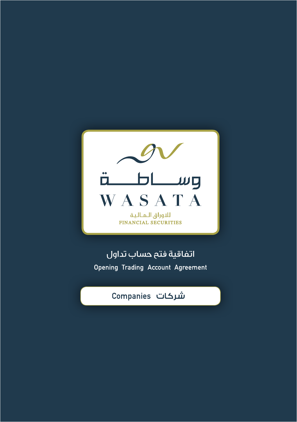

اتفاقية فتح حساب تداول **Opening Trading Account Agreement** 

# شركات Companies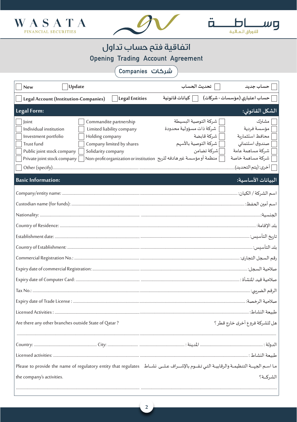



Ö.

 $H$ 

للاوراق اللاالية

மர

**Opening Trading Account Agreement** 

شركات Companies

| Update<br>New                                                                                                                                                                                                                                                                                | تحديث الحساب<br>  حساب جديد                                                                                                                                                                                                                                                                                                          |
|----------------------------------------------------------------------------------------------------------------------------------------------------------------------------------------------------------------------------------------------------------------------------------------------|--------------------------------------------------------------------------------------------------------------------------------------------------------------------------------------------------------------------------------------------------------------------------------------------------------------------------------------|
| <b>Legal Entities</b><br>Legal Account (Institution-Companies)                                                                                                                                                                                                                               | ] حساب اعتباري (مؤسسات - شركات)<br>  كيانات قانونية                                                                                                                                                                                                                                                                                  |
| Legal Form:                                                                                                                                                                                                                                                                                  | الشكل القانوني:                                                                                                                                                                                                                                                                                                                      |
| Commandite partnership<br>Joint<br>Individual institution<br>Limited liability company<br>Investment portfolio<br>Holding company<br>Trust fund<br>Company limited by shares<br>Public joint stock company<br>Solidarity company<br>Private joint stock company<br><b>Basic Information:</b> | شركة التوصية البسيطة<br>  مشترك<br>مؤسسة فردية<br>شركة ذات مسؤولية محدودة<br>محافظ استثمارية<br>شركة قابضة<br>شركة التوصية بالأسهم<br>صندوق استئماني<br>شركة مساهمة عامة<br> شركة تضامن<br>شركة مساهمة خاصة<br>منظمة أو مؤسسة غير هادفه للربح Non-profit organization or institution<br>ص] أخرى: (يتم التحديد)<br>البيانات الأساسية: |
|                                                                                                                                                                                                                                                                                              |                                                                                                                                                                                                                                                                                                                                      |
|                                                                                                                                                                                                                                                                                              |                                                                                                                                                                                                                                                                                                                                      |
|                                                                                                                                                                                                                                                                                              |                                                                                                                                                                                                                                                                                                                                      |
|                                                                                                                                                                                                                                                                                              |                                                                                                                                                                                                                                                                                                                                      |
|                                                                                                                                                                                                                                                                                              |                                                                                                                                                                                                                                                                                                                                      |
|                                                                                                                                                                                                                                                                                              |                                                                                                                                                                                                                                                                                                                                      |
|                                                                                                                                                                                                                                                                                              | رقم السجل التجاري:                                                                                                                                                                                                                                                                                                                   |
|                                                                                                                                                                                                                                                                                              |                                                                                                                                                                                                                                                                                                                                      |
|                                                                                                                                                                                                                                                                                              |                                                                                                                                                                                                                                                                                                                                      |
|                                                                                                                                                                                                                                                                                              | الرقم الضربي:                                                                                                                                                                                                                                                                                                                        |
|                                                                                                                                                                                                                                                                                              |                                                                                                                                                                                                                                                                                                                                      |
|                                                                                                                                                                                                                                                                                              |                                                                                                                                                                                                                                                                                                                                      |
| Are there any other branches outside State of Qatar?                                                                                                                                                                                                                                         | هل للشركة فروع أخرى خارج قطر ؟                                                                                                                                                                                                                                                                                                       |
|                                                                                                                                                                                                                                                                                              |                                                                                                                                                                                                                                                                                                                                      |
|                                                                                                                                                                                                                                                                                              |                                                                                                                                                                                                                                                                                                                                      |
|                                                                                                                                                                                                                                                                                              |                                                                                                                                                                                                                                                                                                                                      |
| ما اسم الجهــة التنظيمـة والرقابيــة التي تـقــوم بالإشــراف عـلــى نشــاط   Please to provide the name of regulatory entity that regulates                                                                                                                                                  |                                                                                                                                                                                                                                                                                                                                      |
| the company's activities.                                                                                                                                                                                                                                                                    | الشركــة؟                                                                                                                                                                                                                                                                                                                            |
|                                                                                                                                                                                                                                                                                              |                                                                                                                                                                                                                                                                                                                                      |

 $\overline{2}$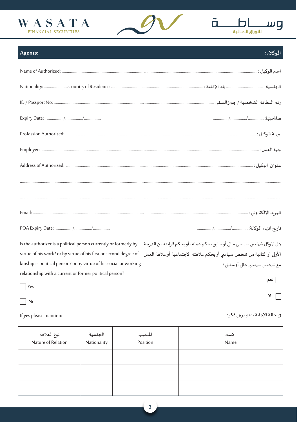





| Agents:                                                                                                                                   |             |          | الوكلاء:                                                                |
|-------------------------------------------------------------------------------------------------------------------------------------------|-------------|----------|-------------------------------------------------------------------------|
|                                                                                                                                           |             |          |                                                                         |
|                                                                                                                                           |             |          |                                                                         |
|                                                                                                                                           |             |          |                                                                         |
|                                                                                                                                           |             |          |                                                                         |
|                                                                                                                                           |             |          |                                                                         |
|                                                                                                                                           |             |          |                                                                         |
|                                                                                                                                           |             |          |                                                                         |
|                                                                                                                                           |             |          |                                                                         |
|                                                                                                                                           |             |          |                                                                         |
|                                                                                                                                           |             |          |                                                                         |
|                                                                                                                                           |             |          |                                                                         |
| هل الموكل شخص سياسي حالي أو سابق بحكم عمله، أو بحكم قرابته من الدرجة     Is the authorizer is a political person currently or formerly by |             |          |                                                                         |
| virtue of his work? or by virtue of his first or second degree of                                                                         |             |          | الأولى أو الثانية من شخص سياسي أو بحكم علاقته الاجتماعية أو علاقة العمل |
| kinship is political person? or by virtue of his social or working                                                                        |             |          | مع شخص سياسي حالي أوسابق؟                                               |
| relationship with a current or former political person?<br>  نعم                                                                          |             |          |                                                                         |
| Yes                                                                                                                                       |             |          | $\Delta$                                                                |
| No                                                                                                                                        |             |          |                                                                         |
| If yes please mention:                                                                                                                    |             |          | في حالة الإجابة بنعم يرجى ذكر:                                          |
| نوع العلاقة                                                                                                                               | الجنسية     | المنصب   | الاسم                                                                   |
| Nature of Relation                                                                                                                        | Nationality | Position | Name                                                                    |
|                                                                                                                                           |             |          |                                                                         |

 $\overline{\mathbf{3}}$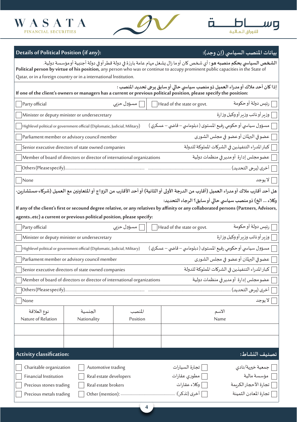





**بيانات املنصب السيا�سي )إن وجد(: :(any if (Position Political of Details**

| ا <b>لشخص السياسي بحكم منصبه هو</b> : أي شخص كان أو ما زال يشغل مهام عامة بارزة في دولة قطر أو في دولة أجنبية أو مؤسسة دولية.<br>Political person by virtue of his position, any person who was or continue to accupy prominent public capacities in the State of<br>Qatar, or in a foreign country or in a international Institution. |                                                                             |            |                                                               |                                                                                                                                                                                                         |
|----------------------------------------------------------------------------------------------------------------------------------------------------------------------------------------------------------------------------------------------------------------------------------------------------------------------------------------|-----------------------------------------------------------------------------|------------|---------------------------------------------------------------|---------------------------------------------------------------------------------------------------------------------------------------------------------------------------------------------------------|
|                                                                                                                                                                                                                                                                                                                                        |                                                                             |            |                                                               |                                                                                                                                                                                                         |
|                                                                                                                                                                                                                                                                                                                                        |                                                                             |            |                                                               | إذا كان أحد ملاك أو مدراء العميل ذو منصب سياسي حالي أو سابق يرجى تحديد المنصب :<br>If one of the client's owners or managers has a current or previous political position, please specify the position: |
| Party official                                                                                                                                                                                                                                                                                                                         |                                                                             | مسؤول حزبي | Head of the state or govt.                                    | رئيس دولة أوحكومة                                                                                                                                                                                       |
|                                                                                                                                                                                                                                                                                                                                        | Minister or deputy minister or undersecretary                               |            |                                                               | وزير أو نائب وزير أو وكيل وزارة                                                                                                                                                                         |
|                                                                                                                                                                                                                                                                                                                                        | Highlevel political or government official (Diplomatic, Judicial, Military) |            | مسؤول سياسي أو حكومي رفيع المستوى ( دبلوماسي – قاضي – عسكري ) |                                                                                                                                                                                                         |
|                                                                                                                                                                                                                                                                                                                                        | Parliament member or advisory council member                                |            |                                                               | عضوفي البرلمان أوعضو في مجلس الشورى                                                                                                                                                                     |
|                                                                                                                                                                                                                                                                                                                                        | Senior executive directors of state owned companies                         |            |                                                               | كبار المدراء التنفيذين في الشركات المملوكة للدولة                                                                                                                                                       |
|                                                                                                                                                                                                                                                                                                                                        | Member of board of directors or director of international organizations     |            |                                                               | عضو مجلس إدارة أو مديرفي منظمات دولية                                                                                                                                                                   |
| Others(Please specify)                                                                                                                                                                                                                                                                                                                 |                                                                             |            |                                                               | أخرى (يرجى التحديد)                                                                                                                                                                                     |
| $\sqrt{\frac{1}{1}}$ None                                                                                                                                                                                                                                                                                                              |                                                                             |            |                                                               | لا يوجد                                                                                                                                                                                                 |
|                                                                                                                                                                                                                                                                                                                                        |                                                                             |            |                                                               | هل أحد أقارب ملاك أو مدراء العميل (أقارب من الدرجة الأولى أو الثانية) أو أحد الأقارب من الزواج أو المتعاونين مع العميل (شركاء-مستشارين-                                                                 |
|                                                                                                                                                                                                                                                                                                                                        |                                                                             |            |                                                               | وكلاء  الخ) ذو منصب سياسي حالي أو سابق؟ الرجاء التحديد:                                                                                                                                                 |
|                                                                                                                                                                                                                                                                                                                                        |                                                                             |            |                                                               | If any of the client's first or secound degree relative, or any relatives by affinity or any collaborated persons (Partners, Advisors,                                                                  |
| agentsetc) a current or previous political position, please specify:                                                                                                                                                                                                                                                                   |                                                                             |            |                                                               |                                                                                                                                                                                                         |
| Party official                                                                                                                                                                                                                                                                                                                         |                                                                             | مسؤول حزبي | Head of the state or govt.                                    | رئيس دولة أو حكومة                                                                                                                                                                                      |
|                                                                                                                                                                                                                                                                                                                                        | Minister or deputy minister or undersecretary                               |            |                                                               | وزير أونائب وزير أووكيل وزارة                                                                                                                                                                           |
|                                                                                                                                                                                                                                                                                                                                        | Highlevel political or government official (Diplomatic, Judicial, Military) |            | مسؤول سياسي أو حكومي رفيع المستوى ( دبلوماسي – قاضي – عسكري ) |                                                                                                                                                                                                         |
|                                                                                                                                                                                                                                                                                                                                        | Parliament member or advisory council member                                |            |                                                               | عضوفي البرلمان أوعضو في مجلس الشورى                                                                                                                                                                     |
|                                                                                                                                                                                                                                                                                                                                        | Senior executive directors of state owned companies                         |            |                                                               | كبار المدراء التنفيذين في الشركات المملوكة للدولة                                                                                                                                                       |
|                                                                                                                                                                                                                                                                                                                                        | Member of board of directors or director of international organizations     |            |                                                               | عضو مجلس إدارة أو مدير في منظمات دولية                                                                                                                                                                  |
|                                                                                                                                                                                                                                                                                                                                        |                                                                             |            |                                                               |                                                                                                                                                                                                         |
| None                                                                                                                                                                                                                                                                                                                                   |                                                                             |            |                                                               | لا يوجد                                                                                                                                                                                                 |
| نوع العلاقة                                                                                                                                                                                                                                                                                                                            | الجنسية                                                                     | المنصب     |                                                               | الاسم                                                                                                                                                                                                   |
| Nature of Relation                                                                                                                                                                                                                                                                                                                     | Nationality                                                                 | Position   |                                                               | Name                                                                                                                                                                                                    |
|                                                                                                                                                                                                                                                                                                                                        |                                                                             |            |                                                               |                                                                                                                                                                                                         |
|                                                                                                                                                                                                                                                                                                                                        |                                                                             |            |                                                               |                                                                                                                                                                                                         |
| Activity classification:                                                                                                                                                                                                                                                                                                               |                                                                             |            |                                                               | تصنيف النشاط:                                                                                                                                                                                           |
| Charitable organization                                                                                                                                                                                                                                                                                                                | Automotive trading                                                          |            | تجارة السيارات                                                | جمعية خيرية/نادي                                                                                                                                                                                        |
| Financial Institution                                                                                                                                                                                                                                                                                                                  | Real estate developers                                                      |            | مطورى عقارات                                                  | مؤسسة مالية                                                                                                                                                                                             |
| Precious stones trading                                                                                                                                                                                                                                                                                                                | Real estate brokers                                                         |            | وكلاء عقارات                                                  | تجارة الأحجار الكريمة                                                                                                                                                                                   |
| Precious metals trading                                                                                                                                                                                                                                                                                                                |                                                                             |            | أخرى (تذكر):                                                  | تجارة المعادن الثمينة                                                                                                                                                                                   |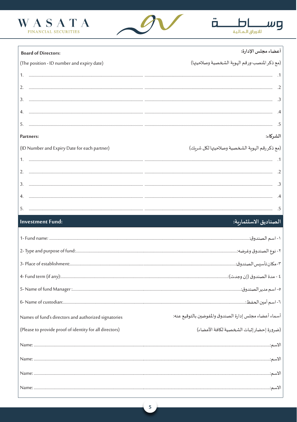





أعضاء مجلس الإدارة:

#### **Board of Directors:**

|    | (The position - ID number and expiry date)   | (مع ذكر المنصب-ورقم الهوية الشخصية وصلاحيتها)  |
|----|----------------------------------------------|------------------------------------------------|
| 1. |                                              |                                                |
| 2. |                                              |                                                |
| 3. |                                              |                                                |
|    |                                              |                                                |
|    |                                              |                                                |
|    |                                              |                                                |
|    | <b>Partners:</b>                             | الشركاء:                                       |
|    | (ID Number and Expiry Date for each partner) | (مع ذكر رقم الهوية الشخصية وصلاحيتها لكل شريك) |
|    |                                              |                                                |
| 2. |                                              |                                                |
| 3. |                                              |                                                |
|    |                                              |                                                |

#### **Investment Fund:**

# الصناديق الاستثمارية:

| Names of fund's directors and authorized signatories    | أسماء أعضاء مجلس إدارة الصندوق والمفوضين بالتوقيع عنه: |
|---------------------------------------------------------|--------------------------------------------------------|
| (Please to provide proof of identity for all directors) | (ضرورة إحضار إثبات الشخصية لكافة الأعضاء)              |
|                                                         |                                                        |
|                                                         |                                                        |
|                                                         |                                                        |
|                                                         |                                                        |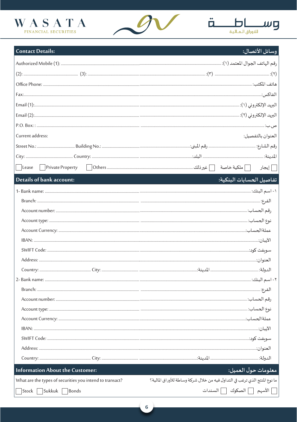





تفاصيل الحسابات البنكية:

| وسائل الأتصال:

### **Contact Details:**

| Current address: | العنوان بالتفصيل: |
|------------------|-------------------|
|                  |                   |
|                  |                   |
|                  | إيجار             |

# Details of bank account:

| <b>Information About the Customer:</b>                   | معلومات حول العميل:                                                        |
|----------------------------------------------------------|----------------------------------------------------------------------------|
| What are the types of securities you intend to transact? | ما نوع المنتج الذي ترغب في التداول فيه من خلال شركة وساطة للأوراق المالية؟ |
| Stock   Sukkuk  <br>Bonds                                | الأسهم [ ] الصكوك [ ] السندات                                              |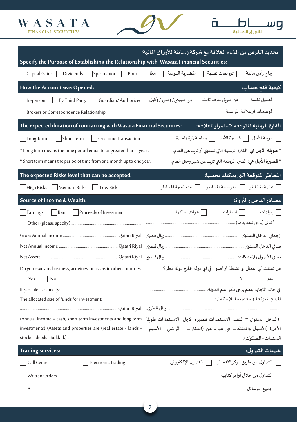



|                                                                                        | تحديد الغرض من إنشاء العلاقة مع شركة وساطة للأوراق المالية:                                                                                                                                                                                                                                                                                                                                                                      |
|----------------------------------------------------------------------------------------|----------------------------------------------------------------------------------------------------------------------------------------------------------------------------------------------------------------------------------------------------------------------------------------------------------------------------------------------------------------------------------------------------------------------------------|
| Specify the Purpose of Establishing the Relationship with Wasata Financial Securities: |                                                                                                                                                                                                                                                                                                                                                                                                                                  |
| Capital Gains   Dividends   Speculation   Both                                         | _ أرباح رأس مالية<br>] توزيعات نقدية       المضاربة اليومية<br>  معًا                                                                                                                                                                                                                                                                                                                                                            |
| How the Account was Opened:                                                            | كيفية فتح حساب:                                                                                                                                                                                                                                                                                                                                                                                                                  |
| By Third Party   Guardian/Authorized<br>In-person                                      | ] العميل نفسه [ ] عن طريق طرف ثالث<br>[ ]ولي طبيعي/ وصي / وكيل                                                                                                                                                                                                                                                                                                                                                                   |
| Brokers or Correspondence Relationship                                                 | <b>[ الوسطاء</b> ، أوعلاقة المراسلة                                                                                                                                                                                                                                                                                                                                                                                              |
| The expected duration of contracting with Wasata Financial Securities:                 | الفترة الزمنية المتوقعة لاستمرار العلاقة:                                                                                                                                                                                                                                                                                                                                                                                        |
| Short Term <b>Dividend Short Term</b><br>$\Box$ Long Term                              | _ طويلة الأجل   _ قصيرة الأجل   _ معاملة لمرة واحدة                                                                                                                                                                                                                                                                                                                                                                              |
| * Long term means the time period equal to or greater than a year.                     | * طويلة الأجل هي: الفترة الزمنية التي تساوي أو تزيد عن العام.                                                                                                                                                                                                                                                                                                                                                                    |
| * Short term means the period of time from one month up to one year.                   | * قصيرة الأجل هي: الفترة الزمنية التي تزيد عن شهروحتى العام.                                                                                                                                                                                                                                                                                                                                                                     |
| The expected Risks level that can be accepted:                                         | المخاطر المتوقعة التي يمكنك تحملها:                                                                                                                                                                                                                                                                                                                                                                                              |
| High Risks   Medium Risks   Low Risks                                                  | [ عالية المخاطر [ ] متوسطة المخاطر<br>منخفضة المخاطر                                                                                                                                                                                                                                                                                                                                                                             |
| Source of Income & Wealth:                                                             | مصادر الدخل والثروة:                                                                                                                                                                                                                                                                                                                                                                                                             |
| Rent   Proceeds of Investment<br>Earnings                                              | وإيرادات [المجارات]<br>__ عوائد استثمار                                                                                                                                                                                                                                                                                                                                                                                          |
|                                                                                        |                                                                                                                                                                                                                                                                                                                                                                                                                                  |
|                                                                                        |                                                                                                                                                                                                                                                                                                                                                                                                                                  |
|                                                                                        |                                                                                                                                                                                                                                                                                                                                                                                                                                  |
|                                                                                        |                                                                                                                                                                                                                                                                                                                                                                                                                                  |
| Do you own any business, activities, or assets in other countries.                     | هل تمتلك أي أعمال أو أنشطة أو أصول في أي دولة خارج دولة قطر ؟                                                                                                                                                                                                                                                                                                                                                                    |
| Yes<br>No                                                                              | $\begin{array}{ccc} \mathbf{1} & \mathbf{1} & \mathbf{1} & \mathbf{1} & \mathbf{1} & \mathbf{1} & \mathbf{1} & \mathbf{1} & \mathbf{1} & \mathbf{1} & \mathbf{1} & \mathbf{1} & \mathbf{1} & \mathbf{1} & \mathbf{1} & \mathbf{1} & \mathbf{1} & \mathbf{1} & \mathbf{1} & \mathbf{1} & \mathbf{1} & \mathbf{1} & \mathbf{1} & \mathbf{1} & \mathbf{1} & \mathbf{1} & \mathbf{1} & \mathbf{1} & \mathbf{1} & \mathbf{1} & \math$ |
|                                                                                        |                                                                                                                                                                                                                                                                                                                                                                                                                                  |
| The allocated size of funds for investment:                                            | المبالغ المتوقعة والمخصصة للإستثمار:                                                                                                                                                                                                                                                                                                                                                                                             |
|                                                                                        |                                                                                                                                                                                                                                                                                                                                                                                                                                  |
|                                                                                        | (الدخل السنوى = النقد، الاستثمارات قصيرة الأجل، الاستثمارات طويلة "Annual income = cash, short term investments and long term)                                                                                                                                                                                                                                                                                                   |
|                                                                                        | الأجل) (الأصول والممتلكات هي عبارة عن (العقارات - الأراضي - الأسهم - - - investments) (Assets and properties are (real estate - lands                                                                                                                                                                                                                                                                                            |
| stocks - deeds - Sukkuk).                                                              | السندات - الصكوك).                                                                                                                                                                                                                                                                                                                                                                                                               |
| <b>Trading services:</b>                                                               | خدمات التداول:                                                                                                                                                                                                                                                                                                                                                                                                                   |
| Call Center<br><b>Electronic Trading</b>                                               | التداول عن طريق مركز الاتصال [التداول الإلكتروني                                                                                                                                                                                                                                                                                                                                                                                 |
| Written Orders                                                                         | [   التداول من خلال أوامر كتابية                                                                                                                                                                                                                                                                                                                                                                                                 |
| All                                                                                    | جميع الوسائل                                                                                                                                                                                                                                                                                                                                                                                                                     |

**7**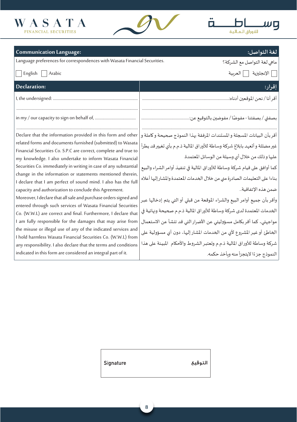





| <b>Communication Language:</b>                                                                                                                                                                                                                                                                                                                                                                                                                                                                                                                                                                                                                                 | لغة التواصل:                                                                                                                                                                                                                                                                                                                                                                                                                                                               |
|----------------------------------------------------------------------------------------------------------------------------------------------------------------------------------------------------------------------------------------------------------------------------------------------------------------------------------------------------------------------------------------------------------------------------------------------------------------------------------------------------------------------------------------------------------------------------------------------------------------------------------------------------------------|----------------------------------------------------------------------------------------------------------------------------------------------------------------------------------------------------------------------------------------------------------------------------------------------------------------------------------------------------------------------------------------------------------------------------------------------------------------------------|
| Language preferences for correspondences with Wasata Financial Securities.                                                                                                                                                                                                                                                                                                                                                                                                                                                                                                                                                                                     | ماهي لغة التواصل مع الشركة؟                                                                                                                                                                                                                                                                                                                                                                                                                                                |
| English $\vert$<br>Arabic                                                                                                                                                                                                                                                                                                                                                                                                                                                                                                                                                                                                                                      | _  الإنجليزية ___  العربية                                                                                                                                                                                                                                                                                                                                                                                                                                                 |
| <b>Declaration:</b>                                                                                                                                                                                                                                                                                                                                                                                                                                                                                                                                                                                                                                            | إقرار:                                                                                                                                                                                                                                                                                                                                                                                                                                                                     |
|                                                                                                                                                                                                                                                                                                                                                                                                                                                                                                                                                                                                                                                                |                                                                                                                                                                                                                                                                                                                                                                                                                                                                            |
|                                                                                                                                                                                                                                                                                                                                                                                                                                                                                                                                                                                                                                                                |                                                                                                                                                                                                                                                                                                                                                                                                                                                                            |
|                                                                                                                                                                                                                                                                                                                                                                                                                                                                                                                                                                                                                                                                |                                                                                                                                                                                                                                                                                                                                                                                                                                                                            |
| Declare that the information provided in this form and other<br>related forms and documents furnished (submitted) to Wasata<br>Financial Securities Co. S.P.C are correct, complete and true to<br>my knowledge. I also undertake to inform Wasata Financial<br>Securities Co. immediately in writing in case of any substantial<br>change in the information or statements mentioned therein,<br>I declare that I am perfect of sound mind. I also has the full<br>capacity and authorization to conclude this Agreement.<br>Moreover, I declare that all sale and purchase orders signed and<br>entered through such services of Wasata Financial Securities | أقربأن البيانات المسجلة والمستندات المرفقة بهذا النموذج صحيحة وكاملة و<br>غير مضللة و أتعهد بابلاغ شركة وساطة للأوراق المالية ذ.م.م بأي تغيير قد يطرأ<br>عليها و ذلك من خلال أي وسيلة من الوسائل المعتمدة.<br>كما أوافق على قيام شركة وساطة للأوراق المالية في تنفيذ أوامر الشراء والبيع<br>بناءا على التعليمات الصادرة مني من خلال الخدمات المعتمدة والمشار إليها أعلاه<br>ضمن هذه الإتفاقية<br>وأقر بأن جميع أوامر البيع والشراء الموقعة من قبلي أو التي يتم إدخالها عبر |
| Co. (W.W.L) are correct and final. Furthermore, I declare that                                                                                                                                                                                                                                                                                                                                                                                                                                                                                                                                                                                                 | الخدمات المعتمدة لدى شركة وساطة للأوراق المالية ذ.م.م صحيحة ونهائية في                                                                                                                                                                                                                                                                                                                                                                                                     |
| I am fully responsible for the damages that may arise from<br>the misuse or illegal use of any of the indicated services and<br>I hold harmless Wasata Financial Securities Co. (W.W.L) from<br>any responsibility. I also declare that the terms and conditions                                                                                                                                                                                                                                                                                                                                                                                               | مواجهتي، كما أقر بكامل مسؤوليتي عن الأضرار التي قد تنشأ عن الاستعمال<br>الخاطئ أو غير المشروع لأي من الخدمات المشار إليها، دون أي مسؤولية على<br>شركة وساطة للأوراق المالية ذ.م.م وتعتبر الشروط والأحكام  المبينة على هذا                                                                                                                                                                                                                                                  |
| indicated in this form are considered an integral part of it.                                                                                                                                                                                                                                                                                                                                                                                                                                                                                                                                                                                                  | النموذج جزءًا لايتجزأ منه ويأخذ حكمه.                                                                                                                                                                                                                                                                                                                                                                                                                                      |

**8**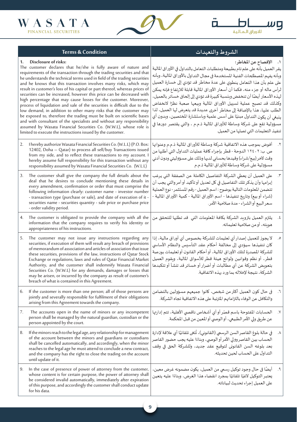



|    | <b>Terms &amp; Condition</b>                                                                                                                                                                                                                                                                                                                                                                                                                                                                                                                                                                                                                                                                                                                                                                                                                                                                                                                                                               | الشروط والتعهدات                                                                                                                                                                                                                                                                                                                                                                                                                                                                                                                                                                                                                                                                                                                                                                 |
|----|--------------------------------------------------------------------------------------------------------------------------------------------------------------------------------------------------------------------------------------------------------------------------------------------------------------------------------------------------------------------------------------------------------------------------------------------------------------------------------------------------------------------------------------------------------------------------------------------------------------------------------------------------------------------------------------------------------------------------------------------------------------------------------------------------------------------------------------------------------------------------------------------------------------------------------------------------------------------------------------------|----------------------------------------------------------------------------------------------------------------------------------------------------------------------------------------------------------------------------------------------------------------------------------------------------------------------------------------------------------------------------------------------------------------------------------------------------------------------------------------------------------------------------------------------------------------------------------------------------------------------------------------------------------------------------------------------------------------------------------------------------------------------------------|
| 1. | Disclosure of risks:<br>The customer declares that he/she is fully aware of nature and<br>requirements of the transaction through the trading securities and that<br>he understands the technical terms used in field of the trading securities<br>and he knows that this transaction involves many risks, which may<br>result in customer's loss of his capital or part thereof, whereas prices of<br>securities can be increased, however this price can be decreased with<br>high percentage that may cause losses for the customer. Moreover,<br>process of liquidation and sale of the securities is difficult due to the<br>low demand, in addition to other many risks that the customer may<br>be exposed to, therefore the trading must be built on scientific bases<br>and with consultant of the specialists and without any responsibility<br>assumed by Wasata Financial Securities Co. (W.W.L), whose role is<br>limited to execute the instructions issued by the customer. | ١. الإفصاح عن المخاطر:<br>يقر العميل بأنه على علم تام بطبيعة ومتطلبات التعامل بالتداول في الأوراق المالية<br>وبأنه يفهم المصطلحات الفنية المستخدمة في مجال التداول بالأوراق المالية، وبأنه<br>على علم بأن هذا التعامل ينطوي على عدة مخاطر قد تؤدي إلى خسارة العميل<br>لرأس ماله أو جزء منه، فكما أن أسعار الأوراق المالية قابلة للارتفاع فإنه يمكن<br>لهذه الأسعار أيضًا أن تنخفض وبنسبة كبيرة قد تؤدي إلى إلحاق خسائر بالعميل،<br>وكذلك قد تصبح عملية تسييل الأوراق المالية وبيعها صعبة نظرًا لانخفاض<br>الطلب عليها، هذا بالإضافة إلى مخاطر أخرى عديدة قد يتعرض لها العميل، لذا<br>ينبغي أن يكون التداول مبنيًا على أسس علمية وباستشارة المختصين، وبدون أي<br>مسؤولية تقع على شركة وساطة للأوراق المالية ذ.م.م ، والتي يقتصر دورها في<br>تنفيذ التعليمات التي تصلها من العميل. |
| 2. | I hereby authorize Wasata Financial Securities Co. (W.L.L) (P.O. Box:<br>12402, Doha - Qatar) to process all sell/buy Transactions issued<br>from my side, and to reflect these transactions to my account. I<br>hereby assume full responsibility for this transaction without any<br>responsibility assumed by Wasata Financial Securities Co. (W.L.L)                                                                                                                                                                                                                                                                                                                                                                                                                                                                                                                                                                                                                                   | أفوض بموجب هذه الاتفاقية شركة وساطة للأوراق المالية ذ.م.م وعنوانها<br>ص. ب: ٢ ١٢٤٠ الدوحة - قطر بإجراء كافة عمليات التداول التي أطلبها من<br>وقت لآخر (بيع/شراء) وقيدها بحسابي لديها وذلك على مسؤوليتي ودون أدني<br>مسؤولية على شركة وساطة للأوراق المالية ذ.م.م                                                                                                                                                                                                                                                                                                                                                                                                                                                                                                                 |
| 3. | The customer shall give the company the full details about the<br>deal that he desires to conclude mentioning these details in<br>every amendment, confirmation or order that must comprise the<br>following information clearly: customer name - investor number<br>- transaction type (purchase or sale), and date of execution of it -<br>securities name - securities quantity - sale price or purchase price<br>- order validity period.                                                                                                                                                                                                                                                                                                                                                                                                                                                                                                                                              | على العميل أن يعطي الشركة التفاصيل الكاملة عن الصفقة التي يرغب<br>$\cdot^{\mathsf{r}}$<br>إبرامها وأن يذكر تلك التفاصيل في كل تعديل أو تأكيد أو أمر والتي يجب أن<br>تتضمن المعلومات التالية بوضوح: اسم العميل - رقم المستثمر- نوع العملية<br>(شراء أو بيع) وتاريخ تنفيذها - اسم الأوراق المالية - كمية الأوراق المالية -<br>سعر البيع أو الشراء - مدة صلاحية الأمر.                                                                                                                                                                                                                                                                                                                                                                                                              |
| 4. | The customer is obligated to provide the company with all the<br>information that the company requires to verify his identity or<br>appropriateness of his instructions.                                                                                                                                                                                                                                                                                                                                                                                                                                                                                                                                                                                                                                                                                                                                                                                                                   | يلتزم العميل بتزويد الشركة بكافة المعلومات التي قد تطلبها للتحقق من<br>$\cdot$<br>هوىته، أومن صلاحية تعليماته.                                                                                                                                                                                                                                                                                                                                                                                                                                                                                                                                                                                                                                                                   |
| 5. | The customer may not issue any instructions regarding any<br>securities, if execution of them will result any breach of provisions<br>of memorandum of association and articles of association that issue<br>these securities, provisions of the law, instructions of Qatar Stock<br>Exchange or regulations, laws and rules of Qatar Financial Market<br>Authority, and the customer shall indemnify Wasata Financial<br>Securities Co. (W.W.L) for any demands, damages or losses that<br>may be arisen, or incurred by the company as result of customer's<br>breach of what is contained in this Agreement.                                                                                                                                                                                                                                                                                                                                                                            | لا يجوز للعميل إصدار أي تعليمات للشركة بخصوص أي أوراق مالية، إذا<br>كان تنفيذها سيؤدي إلى مخالفة أحكام عقد التأسيس والنظام الأساسي<br>للشركة المصدرة لتلك الأوراق المالية، أو أحكام القانون أو تعليمات بورصة<br>قطر، أو نظم وقوانين ولوائح هيئة قطر للأسواق المالية، ويقوم العميل<br>بتعويض الشركة عن أي مطالبات أو أضرار أو خسائر قد تنشأ أو تتكبدها<br>الشركة، نتيجة لإخلاله بما ورد بهذه الاتفاقية.                                                                                                                                                                                                                                                                                                                                                                           |
| 6. | If the customer is more than one person; all of those persons are<br>jointly and severally responsible for fulfilment of their obligations<br>arising from this Agreement towards the company.                                                                                                                                                                                                                                                                                                                                                                                                                                                                                                                                                                                                                                                                                                                                                                                             | في حال كون العميل أكثر من شخص، كانوا جميعهم مسؤولين بالتضامن<br>٦.<br>والتكافل عن الوفاء بالتزاماتهم المترتبة على هذه الاتفاقية تجاه الشركة.                                                                                                                                                                                                                                                                                                                                                                                                                                                                                                                                                                                                                                     |
| 7. | The accounts open in the name of minors or any incompetent<br>person shall be managed by the natural guardian, custodian or the<br>person appointed by the court.                                                                                                                                                                                                                                                                                                                                                                                                                                                                                                                                                                                                                                                                                                                                                                                                                          | الحسابات المفتوحة باسم قصّر أو أي أشخاص ناقصي الأهلية، تتم إدارِيا<br>$\cdot$ Y<br>عن طريق ولي الأمر الطبيعي، أو الوصي أو المعين من قبل المحكمة.                                                                                                                                                                                                                                                                                                                                                                                                                                                                                                                                                                                                                                 |
| 8. | If the minors reach to the legal age, any relationship for management<br>of the account between the minors and guardians or custodians<br>shall be cancelled automatically, and accordingly, when the minor<br>reaches to the legal age he must attend to conclude a new contract,<br>and the company has the right to close the trading on the account<br>until update of it.                                                                                                                                                                                                                                                                                                                                                                                                                                                                                                                                                                                                             | في حالة بلوغ القاصر السن الرسمي (القانوني)، تُلغى تلقائيًا أي علاقة لإدارة<br>. $\wedge$<br>الحساب بين القاصر وولى الأمر أو الوصى، وبناءًا عليه يجب حضور القاصر<br>بعد بلوغه السن القانوني لتوقيع عقد جديد، وللشركة الحق في وقف<br>التداول على الحساب لحين تحديثه.                                                                                                                                                                                                                                                                                                                                                                                                                                                                                                               |
| 9. | In the case of presence of power of attorney from the customer,<br>whose content is for certain purpose, the power of attorney shall<br>be considered invalid automatically, immediately after expiration<br>of this purpose, and accordingly the customer shall conduct update<br>for his data.                                                                                                                                                                                                                                                                                                                                                                                                                                                                                                                                                                                                                                                                                           | أيضًا في حال وجود توكيل رسمي من العميل، يكون مضمونه غرض معين،<br>يعتبر التوكيل لاغيًا تلقائيًا بمجرد انقضاء هذا الغرض، وبناءًا عليه يتعين<br>على العميل إجراء تحديث لبياناته.                                                                                                                                                                                                                                                                                                                                                                                                                                                                                                                                                                                                    |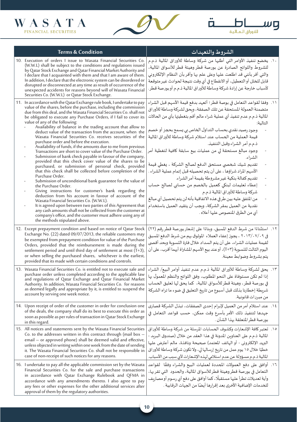



WASATA

| <b>Terms &amp; Condition</b>                                                                                                                                                                                                                                                                                                                                                                                                                                                                                                                                                                                                                                                                                                                                                                                                                                                                                                                                                                                                                                                                                                                                                                                                                                                                                                                                                                                                                                      | الشروط والتعهدات                                                                                                                                                                                                                                                                                                                                                                                                                                                                                                                                                                                                                                                                                                                                                                                                                                                                                                     |
|-------------------------------------------------------------------------------------------------------------------------------------------------------------------------------------------------------------------------------------------------------------------------------------------------------------------------------------------------------------------------------------------------------------------------------------------------------------------------------------------------------------------------------------------------------------------------------------------------------------------------------------------------------------------------------------------------------------------------------------------------------------------------------------------------------------------------------------------------------------------------------------------------------------------------------------------------------------------------------------------------------------------------------------------------------------------------------------------------------------------------------------------------------------------------------------------------------------------------------------------------------------------------------------------------------------------------------------------------------------------------------------------------------------------------------------------------------------------|----------------------------------------------------------------------------------------------------------------------------------------------------------------------------------------------------------------------------------------------------------------------------------------------------------------------------------------------------------------------------------------------------------------------------------------------------------------------------------------------------------------------------------------------------------------------------------------------------------------------------------------------------------------------------------------------------------------------------------------------------------------------------------------------------------------------------------------------------------------------------------------------------------------------|
| 10. Execution of orders I issue to Wasata Financial Securities Co.<br>(W.W.L) shall be subject to the conditions and regulations issued<br>by Qatar Stock Exchange and Qatar Financial Market Authority and<br>I declare that I acquainted with them and that I am aware of them.<br>In addition, I declare that the electronic system can be disordered or<br>disrupted or disconnected at any time as result of occurrence of the<br>unexpected accidents for reasons beyond will of Wasata Financial<br>Securities Co. (W.W.L) or Qatar Stock Exchange.                                                                                                                                                                                                                                                                                                                                                                                                                                                                                                                                                                                                                                                                                                                                                                                                                                                                                                        | ١٠.  يخضع تنفيذ الأوامر التي أطلبها من شركة وساطة للأوراق المالية ذ.م.م<br>للشروط واللوائح الصادرة عن بورصة قطر وهيئة قطر للأسواق المالية،<br>والتي أقر بأنني قد اطلعت عليها وعلى علم بها وأقر بأن النظام الإلكتروني<br>قابل للخلل أو التعطيل، أو الانقطاع في أي وقت نتيجة لحوادث غير متوقعة<br>لأسباب خارجة عن إرادة شركة وساطة للأوراق المالية ذ.م.م أوبورصة قطر.                                                                                                                                                                                                                                                                                                                                                                                                                                                                                                                                                  |
| 11. In accordance with the Qatar Exchange rule book, I undertake to pay<br>value of the shares, before the purchase, including the commission<br>due from this deal, and the Wasata Financial Securities Co. shall not<br>be obligated to execute any Purchase Orders, if I fail to cover its<br>value of any of the following:<br>Availability of balance in the trading account that allow to<br>deduct value of the transaction from the account, when the<br>Wasata Financial Securities Co. receives securities of the<br>purchase order and before the execution.<br>Availability of funds, if the amounts due to me from previous<br>Transactions are short to cover value of the Purchase Order.<br>Submission of bank check payable in favour of the company,<br>provided that this check cover value of the shares to be<br>purchased, or submission of personal check, provided<br>that this check shall be collected before completion of the<br>Purchase Order.<br>Submission of unconditional bank guarantee for the value of<br>the Purchase Order.<br>Giving instructions for customer's bank regarding the<br>deduction from his account in favour of account of the<br>Wasata Financial Securities Co. (W.W.L).<br>It is agreed upon between two parties of this Agreement that<br>any cash amounts shall not be collected from the customer at<br>company's office, and the customer must adhere using any of<br>the methods stipulated above. | ١١.   وفقا لقواعد التعامل في بوصة قطر؛ أتعهد بدفع قيمة الأسهم قبل الشراء<br>متضمنة العمولة المستحقة عن تلك الصفقة، وبحق لشركة وساطة للأوراق<br>المالية ذ.م.م عدم تنفيذ أي عملية شراء مالم أقم بتغطيتها بأي من الحالات<br>التالية:<br>وجود رصيد نقدى بحساب التداول الخاص بي يسمح بحجز أو خصم<br>قيمة العملية من الحساب عند استلام شركة وساطة للأوراق المالية<br>ذ.م.م أمر الشراء وقبل التنفيذ.<br>وجود مبالغ مستحقة لى من عمليات بيع سابقة كافية لتغطية أمر<br>الشراء.<br>تقديم شيك شخصي مستحق الدفع لصالح الشركة ، يغطي قيمة<br>الأسهم المراد شراؤها ، على أن يتم تحصيله قبل إتمام عملية الشراء .<br>تقديم كفالة بنكية غيرمشروطة بقيمة أمرالشراء.<br>إعطاء تعليمات لبنكى كعميل بالخصم من حسابي لصالح حساب<br>شركة وساطة للأوراق المالية ذ.م.م<br>من المتفق عليه بين طرفي هذه الاتفاقية بأنه لن يتم تحصيل أي مبالغ<br>نقدية من العميل بمقر الشركة، وبجب أن يتقيد العميل باستخدام<br>أي من الطرق المنصوص عليها أعلاه . |
| 12. Except prepayment condition and based on notice of Qatar Stock<br>Exchange No. (22) dated 09/07/2013, the reliable customers may<br>be exempted from prepayment condition for value of the Purchase<br>Orders, provided that the reimbursement is made during the<br>settlement period and until third day of settlement at most $(T+3)$ ,<br>or when selling the purchased shares, whichever is the earliest,<br>provided that its made with certain conditions and controls.                                                                                                                                                                                                                                                                                                                                                                                                                                                                                                                                                                                                                                                                                                                                                                                                                                                                                                                                                                                | ١٢. استثناءًا من شرط الدفع المسبق، وبناءًا على إشعار بورصة قطر رقم (٢٢)<br>في ٢٠١٣/٠٧/٠٩ ، يجوز إعفاء العملاء الموثوق بهم من شرط الدفع المسبق<br>لقيمة عمليات الشراء، على أن يتم السداد خلال فترة التسوية وبحد أقصى<br>اليوم الثالث للتسوية (T+۲)، أوعند بيع الأسهم المشتراة أيهما أقرب، على أن<br>يتم بشروط وضوابط معينة.                                                                                                                                                                                                                                                                                                                                                                                                                                                                                                                                                                                           |
| 13. Wasata Financial Securities Co. is entitled not to execute sale and<br>purchase order unless completed according to the applicable law<br>and regulations of Qatar Exchange and Qatar Financial Market<br>Authority. In addition, Wasata Financial Securities Co. for reasons<br>as deemed legally and appropriate by it, is entitled to suspend the<br>account by serving one week notice.                                                                                                                                                                                                                                                                                                                                                                                                                                                                                                                                                                                                                                                                                                                                                                                                                                                                                                                                                                                                                                                                   | ١٣.  يحق لشركة وساطة للأوراق المالية ذ.م.م عدم تنفيذ أوامر البيع/ الشراء<br>إذا لم تكن مستوفاة على النحو المطلوب، وفق اللوائح والنظم المعمول بها<br>في بورصة قطر، وهيئة قطر للأسواق المالية، كما يحق لها تعليق الحساب<br>شربطة إخطارنا بذلك قبل أسبوع من تاريخ التعليق في ضوء ما تراه الشركة<br>من مبررات قانونية.                                                                                                                                                                                                                                                                                                                                                                                                                                                                                                                                                                                                   |
| 14. Upon receipt of order of the customer in order for conclusion one<br>of the deals, the company shall do its best to execute this order as<br>soon as possible as per rules of transaction in Qatar Stock Exchange<br>in this regard.                                                                                                                                                                                                                                                                                                                                                                                                                                                                                                                                                                                                                                                                                                                                                                                                                                                                                                                                                                                                                                                                                                                                                                                                                          | ١٤.  عند استلام أمر من العميل لإبرام إحدى الصفقات، تبذل الشركة قصارى<br>جهدها لتنفيذ ذلك الأمر بأسرع وقت ممكن، حسب قواعد التعامل في<br>بورصة قطر المتعلقة بهذا الشأن .                                                                                                                                                                                                                                                                                                                                                                                                                                                                                                                                                                                                                                                                                                                                               |
| 15. All notices and statements sent by the Wasata Financial Securities<br>Co. to the addresses written in this contract through (mail box $-$<br>email - or approved phone) shall be deemed valid and effective,<br>unless objected in writing within one week from the date of sending<br>it. The Wasata Financial Securities Co. shall not be responsible in<br>case of non-receipt of such notices for any reasons.                                                                                                                                                                                                                                                                                                                                                                                                                                                                                                                                                                                                                                                                                                                                                                                                                                                                                                                                                                                                                                            | ١٥.   تعتبر كافة الإشعارات وكشوف الحسابات المرسلة من شركة وساطة للأوراق<br>المالية ذ.م.م على العناوين المدونة في هذا العقد من خلال (صندوق البربد -<br>البريد الإلكتروني - أو الهاتف المعتمد) صحيحة ونافذة، مالم أعترض عليها<br>خطيًا خلال ١٥ يوم عمل من تاريخ إرسالها لي، ولا تكون شركة وساطة للأوراق<br>المالية ذ.م.م مسؤولة عن عدم استلامي لهذه الإشعارات لأي سبب من الأسباب.                                                                                                                                                                                                                                                                                                                                                                                                                                                                                                                                      |
| 16. I undertake to pay all the applicable commission set by the Wasata<br>Financial Securities Co. for the sale and purchase transactions<br>in accordance with Qatar Exchange Rulebook and QFMA in<br>accordance with any amendments thereto. I also agree to pay<br>any fees or other expenses for the other additional services after<br>approval of them by the regulatory authorities.                                                                                                                                                                                                                                                                                                                                                                                                                                                                                                                                                                                                                                                                                                                                                                                                                                                                                                                                                                                                                                                                       | ١٦. أوافق على دفع العمولات المحددة لعمليات البيع والشراء وفقًا لقواعد<br>التعامل في بورصة قطر وهيئة قطر للأسواق المالية، والحدود  التي تقربها،<br>وأية تعديلات تطرأ عليها مستقبلًا، كما أوافق على دفع أي رسوم أو مصاريف<br>للخدمات الإضافية الأخرى بعد إقرارها أيضًا من الجهات الرقابية .                                                                                                                                                                                                                                                                                                                                                                                                                                                                                                                                                                                                                            |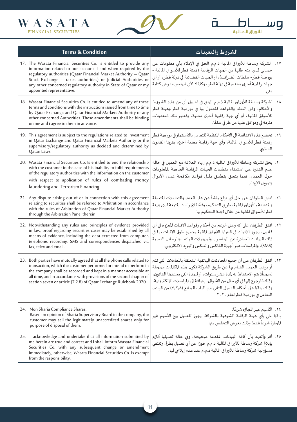

 $\overline{\mathsf{D}}$ 

اللاوراق المالية <mark>ا</mark>

Ö.



| <b>Terms &amp; Condition</b>                                                                                                                                                                                                                                                                                                                                                | الشروط والتعهدات                                                                                                                                                                                                                                                                                                                                                                                               |
|-----------------------------------------------------------------------------------------------------------------------------------------------------------------------------------------------------------------------------------------------------------------------------------------------------------------------------------------------------------------------------|----------------------------------------------------------------------------------------------------------------------------------------------------------------------------------------------------------------------------------------------------------------------------------------------------------------------------------------------------------------------------------------------------------------|
| 17. The Wasata Financial Securities Co. Is entitled to provide any<br>information related to our account if and when required by the<br>regulatory authorities (Qatar Financial Market Authority - Qatar<br>Stock Exchange - taxes authorities) or Judicial Authorities or<br>any other concerned regulatory authority in State of Qatar or my<br>appointed representative. | ١٧.    لشركة وساطة للأوراق المالية ذ.م.م الحق في الإدلاء بأي معلومات عن<br>حسابي لديها يتم طلبها من الجهات الرقابية (هيئة قطر للأسواق المالية -<br>بورصة قطر - سلطات الضرائب)، أو الجهات القضائية في دولة قطر، أو أي<br>جهات رقابية أخرى مختصة في دولة قطر ، وكذلك لأي شخص مفوض كتابة<br>مني.                                                                                                                  |
| 18. Wasata Financial Securities Co. Is entitled to amend any of these<br>terms and conditions with the instructions issued from time to time<br>by Qatar Exchange and Qatar Financial Markets Authority or any<br>other concerned Authorities. These amendments shall be binding<br>on me and i agree to them in advance.                                                   | ١٨.  لشركة وساطة للأوراق المالية ذ.م.م الحق في تعديل أي من هذه الشروط<br>والأحكام، وفق النظم والقواعد المعمول بها في بورصة قطر وهيئة قطر<br>للأسواق المالية، أو أي جهة رقابية أخرى معنية، وتعتبر تلك التعديلات<br>ملزمة لي وموافق عليها من طرفي سلفًا.                                                                                                                                                         |
| 19. This agreement is subject to the regulations related to investment<br>in Qatar Exchange and Qatar Financial Markets Authority or the<br>supervisory/regulatory authority as decided and determined by<br>Qatari Laws.                                                                                                                                                   | ١٩.  تخضع هذه الاتفاقية الى الأحكام المنظمة للتعامل بالاستثمار في بورصة قطر<br>وهيئة قطر للأسواق المالية، وأي جهة رقابية معنية أخرى يقرها القانون<br>القطري .                                                                                                                                                                                                                                                  |
| 20. Wasata Financial Securities Co. Is entitled to end the relationship<br>with the customer in the case of his inability to fulfil requirements<br>of the regulatory authorities with the information on the customer<br>with respect to application of rules of combating money<br>laundering and Terrorism Financing.                                                    | ٢٠. يحق لشركة وساطة للأوراق المالية ذ.م.م إنهاء العلاقة مع العميل في حالة<br>عدم القدرة على استيفاء متطلبات الجهات الرقابية الخاصة بالمعلومات<br>حول العميل، فيما يتعلق بتطبيق دليل قواعد مكافحة غسل الأموال<br>وتموىل الإرهاب .                                                                                                                                                                               |
| 21. Any dispute arising out of or in connection with this agreement<br>relating to securities shall be referred to Arbitration in accordance<br>with the rules of Arbitration of Qatar Financial Market Authority<br>through the Arbitration Panel therein.                                                                                                                 | ٢١. اتفق الطرفان على حل أي نزاع ينشأ عن هذا العقد والتعاملات المتصلة<br>والمتعلقة بالأوراق المالية بطريق التحكيم، وفقًا للإجراءات المتبعة لدى هيئة<br>قطر للأسواق المالية من خلال لجنة التحكيم بها.                                                                                                                                                                                                            |
| 22. Notwithstanding any rules and principles of evidence provided<br>in law, proof regarding securities cases may be established by all<br>means of evidence, including the data extracted from computer,<br>telephone, recording, SMS and correspondences dispatched via<br>fax, telex and email.                                                                          | ٢٢.   اتفق الطرفان على أنه وعلى الرغم من أحكام وقواعد الإثبات المعززة في أي<br>قانون، يجوز الإثبات في قضايا الأوراق المالية بجميع طرق الإثبات بما في<br>ذلك البيانات الصادرة عن الحاسوب وتسجيلات الهاتف والرسائل النصية<br>(SMS)، والمراسلات عبر أجهزة الفاكس والتلكس والبربد الالكتروني.                                                                                                                      |
| 23. Both parties have mutually agreed that all the phone calls related to<br>transaction, which the customer performed or intend to perform in<br>the company shall be recorded and kept in a manner accessible at<br>all time, and in accordance with provisions of the second chapter of<br>section seven or article (7.2.8) of Qatar Exchange Rulebook 2020.             | ٢٣. اتفق الطرفان على أن جميع المحادثات الهاتفية المتعلقة بالمعاملات التي تتم<br>أو يرغب العميل القيام بها عن طربق الشركة تكون هذه المكالمات مسجلة<br>تسجيلًا يتم الاحتفاظ به لمدة عشر سنوات، أوللمدة التي يحددها القانون،<br>وذلك للرجوع إليها في أي حال من الأحوال، إضافة إلى المراسلات الإلكترونية،<br>وذلك بناءًا على أحكام الفصل الثاني من الباب السابع (٧,٢,٨) من قواعد<br>التعامل في بورصة قطرلعام ٢٠٢٠. |
| 24. Non Sharia Compliance Shares:<br>Based on opinion of Sharia Supervisory Board in the company, the<br>customer may sell the legitimately unaccredited shares only for<br>purpose of disposal of them.                                                                                                                                                                    | ٢٤. الأسهم غير المجازة شرعًا:<br>بناءًا على رأي هيئة الرقابة الشرعية بالشركة، يجوز للعميل بيع الأسهم غير<br>المجازة شرعاً فقط وذلك بغرض التخلص منها.                                                                                                                                                                                                                                                           |
| 25. I acknowledge and undertake that all information submitted by<br>me herein are true and correct and I shall inform Wasata Financial<br>Securities Co. with any subsequent change or amendment<br>immediately, otherwise, Wasata Financial Securities Co. is exempt<br>from the responsibility.                                                                          | ٢٥.  أقر وأتعهد بأن كافة البيانات المقدمة صحيحة، وفي حالة تعديلها ألتزم<br>بإبلاغ شركة وساطة للأوراق المالية ذ.م.م فورًا عن أي تعديل يطرأ، وتنتفي<br>مسؤولية شركة وساطة للأوراق المالية ذ.م.م عند عدم إبلاغي لها .                                                                                                                                                                                             |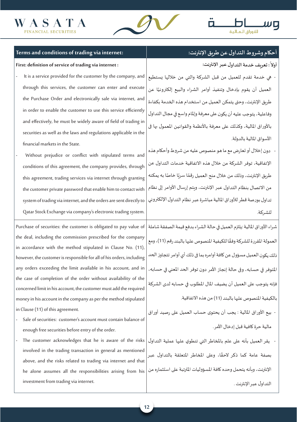investment from trading via internet.





| Terms and conditions of trading via internet:                                                                                | أحكام وشروط التداول عن طربق الإنترنت:                                    |  |  |  |  |
|------------------------------------------------------------------------------------------------------------------------------|--------------------------------------------------------------------------|--|--|--|--|
| First: definition of service of trading via internet:                                                                        | أولا : تعريف خدمة التداول عبر الإنترنت:                                  |  |  |  |  |
| It is a service provided for the customer by the company, and                                                                | - هي خدمة تقدم للعميل من قبل الشركة والتي من خلالها يستطيع               |  |  |  |  |
| through this services, the customer can enter and execute                                                                    | العميل أن يقوم بإدخال وتنفيذ أوامر الشراء والبيع إلكترونيًا عن           |  |  |  |  |
| the Purchase Order and electronically sale via internet, and                                                                 | طريق الإنترنت، وحتى يتمكن العميل من استخدام هذه الخدمة بكفاءة            |  |  |  |  |
| in order to enable the customer to use this service efficiently                                                              | وفاعلية، يتوجب عليه أن يكون على معرفة وإلمام واسع في مجال التداول        |  |  |  |  |
| and effectively, he must be widely aware of field of trading in                                                              | بالأوراق المالية، وكذلك على معرفة بالأنظمة والقوانين المعمول بها في      |  |  |  |  |
| securities as well as the laws and regulations applicable in the                                                             | الأسواق المالية بالدولة.                                                 |  |  |  |  |
| financial markets in the State.                                                                                              |                                                                          |  |  |  |  |
| Without prejudice or conflict with stipulated terms and                                                                      | دون إخلال أو تعارض مع ما هو منصوص عليه من شروط وأحكام هذه                |  |  |  |  |
| conditions of this agreement, the company provides, through                                                                  | الإتفاقية، توفر الشركة من خلال هذه الاتفاقية خدمات التداول عن            |  |  |  |  |
| this agreement, trading services via internet through granting                                                               | طريق الإنترنت، وذلك من خلال منح العميل رقمًا سريًا خاصًا به يمكنه        |  |  |  |  |
| the customer private password that enable him to contact with                                                                | من الاتصال بنظام التداول عبر الإنترنت، وبِتم إرسال الأوامر إلى نظام      |  |  |  |  |
| system of trading via internet, and the orders are sent directly to                                                          | تداول بورصة قطر للأوراق المالية مباشرة عبر نظام التداول الإلكتروني       |  |  |  |  |
| Qatar Stock Exchange via company's electronic trading system.                                                                | للشركة.                                                                  |  |  |  |  |
| Purchase of securities: the customer is obligated to pay value of                                                            | شراء الأوراق المالية :يلتزم العميل في حالة الشراء بدفع قيمة الصفقة شاملة |  |  |  |  |
| the deal, including the commission prescribed for the company                                                                | العمولة المقررة للشركة وفقًا للكيفية المنصوص عليها بالبند رقم (11)، ومع  |  |  |  |  |
| in accordance with the method stipulated in Clause No. (11),                                                                 |                                                                          |  |  |  |  |
| however, the customer is responsible for all of his orders, including                                                        | ذلك يكون العميل مسؤول عن كافة أوامره بما في ذلك أي أوامر تتجاوز الحد     |  |  |  |  |
| any orders exceeding the limit available in his account, and in                                                              | المتوفر في حسابه، وفي حالة إنجاز الأمر دون توفر الحد المعني في حسابه،    |  |  |  |  |
| the case of completion of the order without availability of the                                                              | فإنه يتوجب على العميل أن يضيف المال المطلوب في حسابه لدى الشركة          |  |  |  |  |
| concerned limit in his account, the customer must add the required                                                           |                                                                          |  |  |  |  |
| money in his account in the company as per the method stipulated                                                             | بالكيفية المنصوص عليها بالبند (11) من هذه الاتفاقية.                     |  |  |  |  |
| in Clause (11) of this agreement.                                                                                            | ·  بيع الأوراق المالية : يجب أن يحتوى حساب العميل على رصيد أوراق         |  |  |  |  |
| Sale of securities: customer's account must contain balance of                                                               |                                                                          |  |  |  |  |
| enough free securities before entry of the order.                                                                            | مالية حرة كافية قبل إدخال الأمر .                                        |  |  |  |  |
| The customer acknowledges that he is aware of the risks                                                                      | يقر العميل بأنه على علم بالمخاطر التي تنطوي عليها عملية التداول          |  |  |  |  |
| involved in the trading transaction in general as mentioned<br>above, and the risks related to trading via internet and that | بصفة عامة كما ذكر لاحقًا، وعلى المخاطر المتعلقة بالتداول عبر             |  |  |  |  |

he alone assumes all the responsibilities arising from his  $\big\vert$  الإنترنت، وبأنه يتحمل وحده كافة المسؤوليات المترتبة على استثماره من التداول عبر الإنترنت .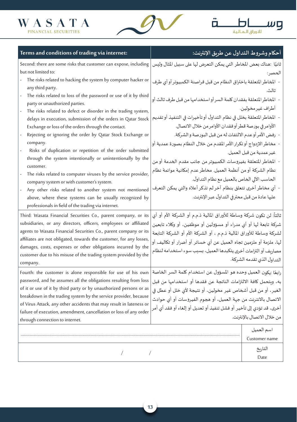



| Terms and conditions of trading via internet:                                                                                                                                                                                                                                                                                                                                                                                                              | أحكام وشروط التداول عن طريق الإنترنت:                                                                                                                                                                                                                                                                                                                                                    |                             |  |  |  |
|------------------------------------------------------------------------------------------------------------------------------------------------------------------------------------------------------------------------------------------------------------------------------------------------------------------------------------------------------------------------------------------------------------------------------------------------------------|------------------------------------------------------------------------------------------------------------------------------------------------------------------------------------------------------------------------------------------------------------------------------------------------------------------------------------------------------------------------------------------|-----------------------------|--|--|--|
| Second: there are some risks that customer can expose, including<br>but not limited to:                                                                                                                                                                                                                                                                                                                                                                    | ثانيًا :هناك بعض المخاطر التي يمكن التعرض لها على سبيل المثال وليس<br>الحصر :                                                                                                                                                                                                                                                                                                            |                             |  |  |  |
| The risks related to hacking the system by computer hacker or<br>any third party.                                                                                                                                                                                                                                                                                                                                                                          | - المخاطر المتعلقة باختراق النظام من قبل قراصنة الكمبيوتر أو أي طرف                                                                                                                                                                                                                                                                                                                      |                             |  |  |  |
| The risks related to loss of the password or use of it by third<br>party or unauthorized parties.                                                                                                                                                                                                                                                                                                                                                          | - المخاطر المتعلقة بفقدان كلمة السر أو استخدامها من قبل طرف ثالث أو                                                                                                                                                                                                                                                                                                                      | ثالث.                       |  |  |  |
| The risks related to defect or disorder in the trading system,<br>delays in execution, submission of the orders in Qatar Stock                                                                                                                                                                                                                                                                                                                             | أطراف غير مخولين.<br>-  المخاطر المتعلقة بخلل في نظام التداول أو تأخيرات في التنفيذ أو تقديم<br>الأوامر في بورصة قطر أو فقدان الأوامر من خلال الاتصال.<br>- رفض الأمر أوعدم الالتفات له من قبل البورصة والشركة.                                                                                                                                                                          |                             |  |  |  |
| Exchange or loss of the orders through the contact.<br>Rejecting or ignoring the order by Qatar Stock Exchange or<br>company.                                                                                                                                                                                                                                                                                                                              |                                                                                                                                                                                                                                                                                                                                                                                          |                             |  |  |  |
| Risks of duplication or repetition of the order submitted<br>through the system intentionally or unintentionally by the<br>customer.<br>The risks related to computer viruses by the service provider,<br>company system or with customer's system.<br>Any other risks related to another system not mentioned<br>above, where these systems can be usually recognized by<br>professionals in field of the trading via internet.                           | -  مخاطر الازدواج أو تكرار الأمر المقدم من خلال النظام بصورة عمدية أو<br>غير عمدية من قبل العميل.                                                                                                                                                                                                                                                                                        |                             |  |  |  |
|                                                                                                                                                                                                                                                                                                                                                                                                                                                            | -  المخاطر المتعلقة بفيروسات الكمبيوتر من جانب مقدم الخدمة أو من<br>نظام الشركة أو من أنظمة العميل. مخاطر عدم إمكانية موائمة نظام<br>الحاسب الآلي الخاص بالعميل مع نظام التداول.                                                                                                                                                                                                         |                             |  |  |  |
|                                                                                                                                                                                                                                                                                                                                                                                                                                                            | -  أي مخاطر أخرى تتعلق بنظام آخر لم تذكر أعلاه والتي يمكن التعرف<br>عليها عادة من قبل محترفي التداول عبر الإنترنت.                                                                                                                                                                                                                                                                       |                             |  |  |  |
| Third: Wasata Financial Securities Co., parent company, or its<br>subsidiaries, or any directors, officers, employees or affiliated<br>agents to Wasata Financial Securities Co., parent company or its<br>affiliates are not obligated, towards the customer, for any losses,<br>damages, costs, expenses or other obligations incurred by the<br>customer due to his misuse of the trading system provided by the<br>company.                            | ثالثاً: لن تكون شركة وساطة للأوراق المالية ذ.م.م أو الشركة الأم أو أي<br>شركة تابعة لها أو أي مدراء أو مسؤولين أو موظفين، أو وكلاء تابعين<br>لشركة وساطة للأوراق المالية ذ.م.م ، أو الشركة الأم أو الشركة التابعة<br>لها، ملزمة أو ملزمين تجاه العميل عن أي خسائر أو أضرار أو تكاليف أو<br>مصاريف أو التزامات أخرى يتكبدها العميل، بسبب سوء استخدامه لنظام<br>التداول الذي تقدمه الشركة. |                             |  |  |  |
| Fourth: the customer is alone responsible for use of his own<br>password, and he assumes all the obligations resulting from loss<br>of it or use of it by third party or by unauthorized persons or as<br>breakdown in the trading system by the service provider, because<br>of Virus Attack, any other accidents that may result in lateness or<br>failure of execution, amendment, cancellation or loss of any order<br>through connection to internet. | رابعًا :يكون العميل وحده هو المسؤول عن استخدام كلمة السر الخاصة<br>به، وبتحمل كافة الالتزامات الناتجة عن فقدها أو استخدامها من قبل<br>الغير، أو من قبل أشخاص غير مخولين، أو نتيجة لأي خلل أو عطل في<br>الاتصال بالانترنت من جهة العميل، أو هجوم الفيروسات أو أي حوادث<br>أخرى، قد تؤدي إلى تأخير أو فشل تنفيذ أو تعديل أو إلغاء أو فقد أي أمر<br>من خلال الاتصال بالإنترنت.              |                             |  |  |  |
|                                                                                                                                                                                                                                                                                                                                                                                                                                                            |                                                                                                                                                                                                                                                                                                                                                                                          | اسم العميل<br>Customer name |  |  |  |
|                                                                                                                                                                                                                                                                                                                                                                                                                                                            |                                                                                                                                                                                                                                                                                                                                                                                          |                             |  |  |  |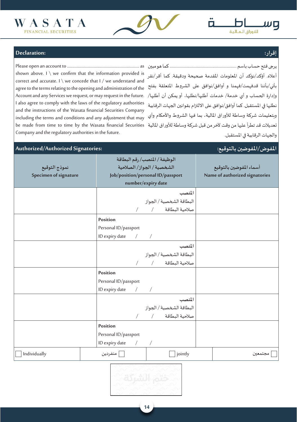



# **إقرار: :Declaration**

as ..................................................................... to account an open Please يرجى فتح حساب باسم ................................................................ كما هو مبين shown above. I  $\setminus$  we confirm that the information provided is correct and accurate. I \ we concede that I / we understand and بأني/بأننا قدفهمت/فهمنا و أوافق/نوافق على الشروط المتعلقة بفتح agree to the terms relating to the opening and administration of the وإدارة الحساب و أي خدمة/ خدمات أطلبها/نطلبها، أو يمكن أن أطلبها/ .Account and any Services we request, or may request in the future I also agree to comply with the laws of the regulatory authorities and the instructions of the Wasata financial Securities Company including the terms and conditions and any adjustment that may تعديلات قد تطرأ عليها من وقت لآخر من قبل شركة وساطة للأوراق المالية be made from time to time by the Wasata financial Securities Company and the regulatory authorities in the future.

أعاله. أؤكد/نؤكد أن املعلومات املقدمة صحيحة ودقيقة. كما أقر/نقر نطلبها في المستقبل. كما أوافق/نوافق على الالتزام بقوانين الجهات الرقابية وبتعليمات شركة وساطة لألوراق املالية، بما فيها الشروط واألحكام وأي والجهات الرقابية في املستقبل.

#### **املفوض/املفوضين بالتوقيع: :Signatories Authorized/Authorized نموذج التوقيع Specimen of signature الوظيفة / املنصب/ رقم البطاقة الشخصية / الجواز/ الصالحية** Job/position/personal ID/passport number/expiry date **أسماء املفوضين بالتوقيع Name of authorized signatories املنصب** البطاقة الشخصية / الجواز صلاحية البطاقة **Position** Personal ID/passport ID expiry date **املنصب** البطاقة الشخصية / الجواز صالحية البطاقة / / **Position** Personal ID/passport ID expiry date **املنصب** البطاقة الشخصية / الجواز صلاحية البطاقة **Position** Personal ID/passport ID expiry date

مجتمعين jointly منفردين Individually

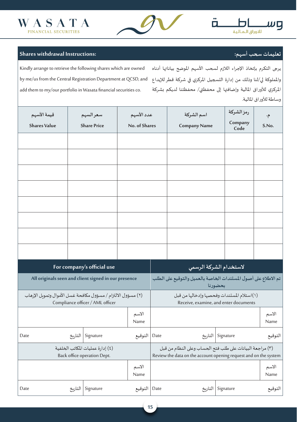



# **تعليمات سحب أسهم: :Instructions withdrawal Shares**

Kindly arrange to retrieve the following shares which are owned by me/us from the Central Registration Department at QCSD, and add them to my/our portfolio in Wasata financial securities co.

يرجى التكرم بإتخاذ اإلجراء الالزم لسحب األسهم املوضح بياناتها أدناه واململوكة لي/لنا وذلك من إدارة التسجيل املركزي في شركة قطر لإليداع املركزي لألوراق املالية وإضافتها إلى محفظتي/ محفظتنا لديكم بشركة وساطة لألوراق املالية.

| قيمة الأسهم                                                     |         | سعرالسهم                         | عدد الأسهم    |               |                                                                                                                               | اسم الشركة                                                                 |           | رمز الشركة      | م∙            |  |  |
|-----------------------------------------------------------------|---------|----------------------------------|---------------|---------------|-------------------------------------------------------------------------------------------------------------------------------|----------------------------------------------------------------------------|-----------|-----------------|---------------|--|--|
| <b>Shares Value</b>                                             |         | <b>Share Price</b>               | No. of Shares |               |                                                                                                                               | <b>Company Name</b>                                                        |           | Company<br>Code | S.No.         |  |  |
|                                                                 |         |                                  |               |               |                                                                                                                               |                                                                            |           |                 |               |  |  |
|                                                                 |         |                                  |               |               |                                                                                                                               |                                                                            |           |                 |               |  |  |
|                                                                 |         |                                  |               |               |                                                                                                                               |                                                                            |           |                 |               |  |  |
|                                                                 |         |                                  |               |               |                                                                                                                               |                                                                            |           |                 |               |  |  |
|                                                                 |         |                                  |               |               |                                                                                                                               |                                                                            |           |                 |               |  |  |
|                                                                 |         |                                  |               |               |                                                                                                                               |                                                                            |           |                 |               |  |  |
|                                                                 |         |                                  |               |               |                                                                                                                               |                                                                            |           |                 |               |  |  |
|                                                                 |         |                                  |               |               |                                                                                                                               |                                                                            |           |                 |               |  |  |
| For company's official use                                      |         |                                  |               |               |                                                                                                                               | لاستخدام الشركة الرسمي                                                     |           |                 |               |  |  |
| All originals seen and client signed in our presence            |         |                                  |               |               |                                                                                                                               | تم الاطلاع على أصول المستندات الخاصة بالعميل والتوقيع على الطلب<br>بحضورنا |           |                 |               |  |  |
| (٢) مسؤول الالتزام / مسؤول مكافحة غسل الأموال وتموىل الإرهاب    |         | Compliance officer / AML officer |               |               | (١)استلام المستندات وفحصها وإدخالها من قبل<br>Receive, examine, and enter documents                                           |                                                                            |           |                 |               |  |  |
|                                                                 |         |                                  |               | الاسم<br>Name |                                                                                                                               |                                                                            |           |                 | الاسم<br>Name |  |  |
| Date                                                            | التاريخ | Signature                        |               | التوقيع       | Date                                                                                                                          | Signature   التاريخ                                                        |           |                 | التوقيع       |  |  |
| (٤) إدارة عمليات المكاتب الخلفية<br>Back office operation Dept. |         |                                  |               |               | (٣) مراجعة البيانات على طلب فتح الحساب وعلى النظام من قبل<br>Review the data on the account opening request and on the system |                                                                            |           |                 |               |  |  |
|                                                                 |         |                                  |               | الاسم<br>Name |                                                                                                                               |                                                                            |           |                 | الاسم<br>Name |  |  |
| Date                                                            | التاريخ | Signature                        |               | التوقيع       | Date                                                                                                                          | التاريخ                                                                    | Signature |                 | التوقيع       |  |  |